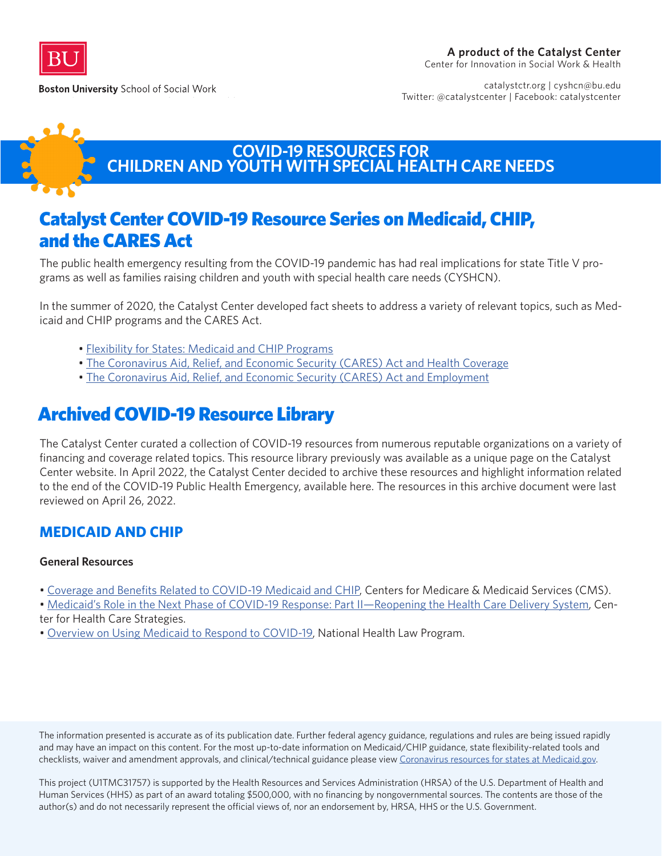

**Boston University School of Social Work** 

catalystctr.org | cyshcn@bu.edu Twitter: @catalystcenter | Facebook: catalystcenter



### **COVID-19 RESOURCES FOR CHILDREN AND YOUTH WITH SPECIAL HEALTH CARE NEEDS**

# Catalyst Center COVID-19 Resource Series on Medicaid, CHIP, and the CARES Act

The public health emergency resulting from the COVID-19 pandemic has had real implications for state Title V programs as well as families raising children and youth with special health care needs (CYSHCN).

In the summer of 2020, the Catalyst Center developed fact sheets to address a variety of relevant topics, such as Medicaid and CHIP programs and the CARES Act.

- [Flexibility for States: Medicaid and CHIP Programs](https://ciswh.org/resources/covid-19-flexibility-for-states-medicaid-and-chip-programs/)
- [The Coronavirus Aid, Relief, and Economic Security \(CARES\) Act and Health Coverage](https://ciswh.org/resources/covid-19-the-coronavirus-aid-relief-and-economic-security-cares-act-and-health-coverage/)
- [The Coronavirus Aid, Relief, and Economic Security \(CARES\) Act and Employment](https://ciswh.org/resources/covid-19-the-coronavirus-aid-relief-and-economic-security-cares-act-and-employment/)

# Archived COVID-19 Resource Library

The Catalyst Center curated a collection of COVID-19 resources from numerous reputable organizations on a variety of financing and coverage related topics. This resource library previously was available as a unique page on the Catalyst Center website. In April 2022, the Catalyst Center decided to archive these resources and highlight information related to the end of the COVID-19 Public Health Emergency, available here. The resources in this archive document were last reviewed on April 26, 2022.

### **MEDICAID AND CHIP**

#### **General Resources**

• [Coverage and Benefits Related to COVID-19 Medicaid and CHIP,](https://www.cms.gov/files/document/03052020-medicaid-covid-19-fact-sheet.pdf) Centers for Medicare & Medicaid Services (CMS).

• [Medicaid's Role in the Next Phase of COVID-19 Response: Part II—Reopening the Health Care Delivery System,](https://www.chcs.org/medicaids-role-in-the-next-phase-of-covid-19-response-part-ii-reopening-the-health-care-delivery-system/?utm_source=CHCS+Email+Updates&utm_campaign=b1102f7ba3-COVID+blog+pt.+II+04%2F28%2F20&utm_medium=email&utm_term=0_bbced451bf-b1102f7ba3-157213345) Center for Health Care Strategies.

• [Overview on Using Medicaid to Respond to COVID-19](https://healthlaw.org/resource/overview-on-using-medicaid-to-respond-to-covid-19/), National Health Law Program.

The information presented is accurate as of its publication date. Further federal agency guidance, regulations and rules are being issued rapidly and may have an impact on this content. For the most up-to-date information on Medicaid/CHIP guidance, state flexibility-related tools and checklists, waiver and amendment approvals, and clinical/technical guidance please view [Coronavirus resources for states at Medicaid.gov](https://www.medicaid.gov/resources-for-states/disaster-response-toolkit/coronavirus-disease-2019-covid-19/index.html).

This project (U1TMC31757) is supported by the Health Resources and Services Administration (HRSA) of the U.S. Department of Health and Human Services (HHS) as part of an award totaling \$500,000, with no financing by nongovernmental sources. The contents are those of the author(s) and do not necessarily represent the official views of, nor an endorsement by, HRSA, HHS or the U.S. Government.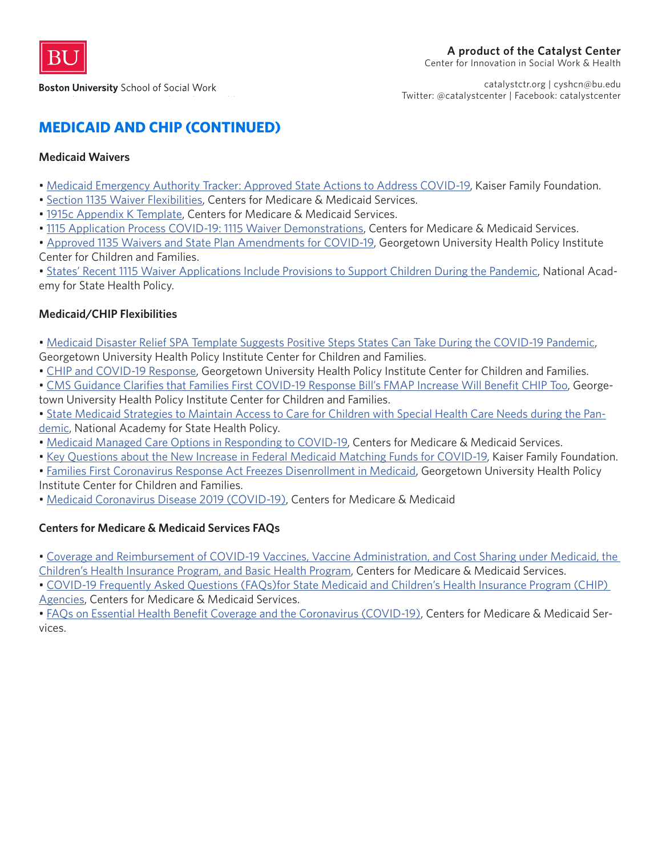

catalystctr.org | cyshcn@bu.edu Twitter: @catalystcenter | Facebook: catalystcenter

### **MEDICAID AND CHIP (CONTINUED)**

#### **Medicaid Waivers**

- • [Medicaid Emergency Authority Tracker: Approved State Actions to Address COVID-19,](https://www.kff.org/coronavirus-covid-19/issue-brief/medicaid-emergency-authority-tracker-approved-state-actions-to-address-covid-19/) Kaiser Family Foundation.
- • [Section 1135 Waiver Flexibilities](https://www.medicaid.gov/resources-for-states/disaster-response-toolkit/section-1135-waiver-flexibilities/index.html), Centers for Medicare & Medicaid Services.
- • [1915c Appendix K Template](https://www.medicaid.gov/resources-for-states/disaster-response-toolkit/home-community-based-services-public-heath-emergencies/emergency-preparedness-and-response-for-home-and-community-based-hcbs-1915c-waivers/index.html), Centers for Medicare & Medicaid Services.
- • [1115 Application Process COVID-19: 1115 Waiver Demonstrations](https://www.medicaid.gov/medicaid/section-1115-demonstrations/1115-application-process/index.html), Centers for Medicare & Medicaid Services.
- • [Approved 1135 Waivers and State Plan Amendments for COVID-19,](https://ccf.georgetown.edu/2020/03/24/approved-1135-waivers/) Georgetown University Health Policy Institute Center for Children and Families.

• [States' Recent 1115 Waiver Applications Include Provisions to Support Children During the Pandemic](https://nashp.org/states-recent-1115-waiver-applications-include-provisions-to-support-children-during-the-pandemic/), National Academy for State Health Policy.

#### **Medicaid/CHIP Flexibilities**

- • [Medicaid Disaster Relief SPA Template Suggests Positive Steps States Can Take During the COVID-19 Pandemic](https://ccf.georgetown.edu/2020/03/26/medicaid-disaster-relief-spa-template-suggests-positive-steps-states-can-takeduring-the-covid-19-pandemic/),
- Georgetown University Health Policy Institute Center for Children and Families.
- • [CHIP and COVID-19 Response](https://ccf.georgetown.edu/2020/03/24/chip-and-covid-19-response/), Georgetown University Health Policy Institute Center for Children and Families.
- • [CMS Guidance Clarifies that Families First COVID-19 Response Bill's FMAP Increase Will Benefit CHIP Too](https://ccf.georgetown.edu/2020/03/25/cms-guidance-clarifies-that-families-first-covid-19-response-bills-fmap-increase-will-benefit-chip-too/), Georgetown University Health Policy Institute Center for Children and Families.
- • [State Medicaid Strategies to Maintain Access to Care for Children with Special Health Care Needs during the Pan](https://nashp.org/state-medicaid-strategies-to-maintain-access-to-care-for-children-with-special-health-care-needs-during-the-pandemic/)[demic,](https://nashp.org/state-medicaid-strategies-to-maintain-access-to-care-for-children-with-special-health-care-needs-during-the-pandemic/) National Academy for State Health Policy.
- • [Medicaid Managed Care Options in Responding to COVID-19](https://www.medicaid.gov/sites/default/files/Federal-Policy-Guidance/Downloads/cib051420.pdf), Centers for Medicare & Medicaid Services.
- • [Key Questions about the New Increase in Federal Medicaid Matching Funds for COVID-19,](https://www.kff.org/medicaid/issue-brief/key-questions-about-the-new-increase-in-federal-medicaid-matching-funds-for-covid-19/) Kaiser Family Foundation.
- • [Families First Coronavirus Response Act Freezes Disenrollment in Medicaid,](https://ccf.georgetown.edu/2020/03/23/families-first-coronavirus-response-act-freezes-disenrollment-in-medicaid/) Georgetown University Health Policy Institute Center for Children and Families.
- • [Medicaid Coronavirus Disease 2019 \(COVID-19\),](https://www.medicaid.gov/resources-for-states/disaster-response-toolkit/coronavirus-disease-2019-covid-19/index.html) Centers for Medicare & Medicaid

#### **Centers for Medicare & Medicaid Services FAQs**

• [Coverage and Reimbursement of COVID-19 Vaccines, Vaccine Administration, and Cost Sharing under Medicaid, the](https://www.medicaid.gov/state-resource-center/downloads/covid-19-vaccine-toolkit.pdf)  [Children's Health Insurance Program, and Basic Health Program,](https://www.medicaid.gov/state-resource-center/downloads/covid-19-vaccine-toolkit.pdf) Centers for Medicare & Medicaid Services.

• [COVID-19 Frequently Asked Questions \(FAQs\)for State Medicaid and Children's Health Insurance Program \(CHIP\)](https://www.medicaid.gov/state-resource-center/downloads/covid-19-faqs.pdf)  [Agencies](https://www.medicaid.gov/state-resource-center/downloads/covid-19-faqs.pdf), Centers for Medicare & Medicaid Services.

• [FAQs on Essential Health Benefit Coverage and the Coronavirus \(COVID-19\)](https://www.cms.gov/CCIIO/Resources/Fact-Sheets-and-FAQs/Downloads/EHB-Benchmark-Coverage-of-COVID-19.pdf), Centers for Medicare & Medicaid Services.